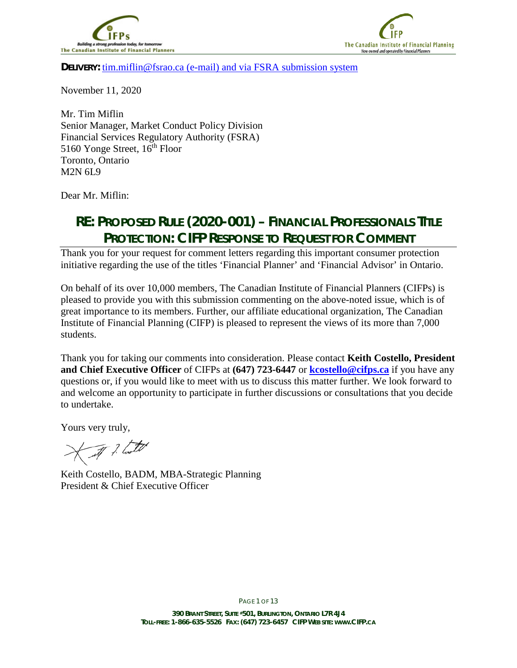



**DELIVERY:** [tim.miflin@fsrao.ca](mailto:tim.miflin@fsrao.ca) (e-mail) and via FSRA submission system

November 11, 2020

Mr. Tim Miflin Senior Manager, Market Conduct Policy Division Financial Services Regulatory Authority (FSRA) 5160 Yonge Street, 16<sup>th</sup> Floor Toronto, Ontario M2N 6L9

Dear Mr. Miflin:

# **RE: PROPOSED RULE (2020-001) – FINANCIAL PROFESSIONALS TITLE PROTECTION: CIFP RESPONSE TO REQUEST FOR COMMENT**

Thank you for your request for comment letters regarding this important consumer protection initiative regarding the use of the titles 'Financial Planner' and 'Financial Advisor' in Ontario.

On behalf of its over 10,000 members, The Canadian Institute of Financial Planners (CIFPs) is pleased to provide you with this submission commenting on the above-noted issue, which is of great importance to its members. Further, our affiliate educational organization, The Canadian Institute of Financial Planning (CIFP) is pleased to represent the views of its more than 7,000 students.

Thank you for taking our comments into consideration. Please contact **Keith Costello, President and Chief Executive Officer** of CIFPs at **(647) 723-6447** or **[kcostello@cifps.ca](mailto:kcostello@cifps.ca)** if you have any questions or, if you would like to meet with us to discuss this matter further. We look forward to and welcome an opportunity to participate in further discussions or consultations that you decide to undertake.

Yours very truly,

I ? laster

Keith Costello, BADM, MBA-Strategic Planning President & Chief Executive Officer

PAGE 1 OF 13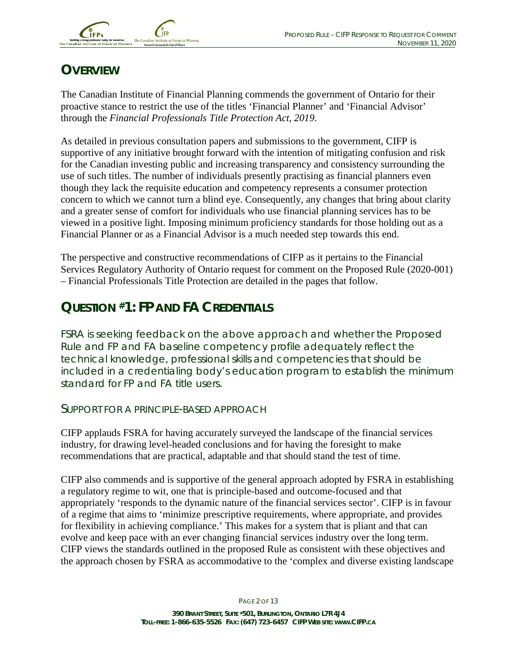

# **OVERVIEW**

The Canadian Institute of Financial Planning commends the government of Ontario for their proactive stance to restrict the use of the titles 'Financial Planner' and 'Financial Advisor' through the *Financial Professionals Title Protection Act, 2019*.

As detailed in previous consultation papers and submissions to the government, CIFP is supportive of any initiative brought forward with the intention of mitigating confusion and risk for the Canadian investing public and increasing transparency and consistency surrounding the use of such titles. The number of individuals presently practising as financial planners even though they lack the requisite education and competency represents a consumer protection concern to which we cannot turn a blind eye. Consequently, any changes that bring about clarity and a greater sense of comfort for individuals who use financial planning services has to be viewed in a positive light. Imposing minimum proficiency standards for those holding out as a Financial Planner or as a Financial Advisor is a much needed step towards this end.

The perspective and constructive recommendations of CIFP as it pertains to the Financial Services Regulatory Authority of Ontario request for comment on the Proposed Rule (2020-001) – Financial Professionals Title Protection are detailed in the pages that follow.

# **QUESTION #1: FP AND FA CREDENTIALS**

FSRA is seeking feedback on the above approach and whether the Proposed Rule and FP and FA baseline competency profile adequately reflect the technical knowledge, professional skills and competencies that should be included in a credentialing body's education program to establish the minimum standard for FP and FA title users.

#### SUPPORT FOR A PRINCIPLE-BASED APPROACH

CIFP applauds FSRA for having accurately surveyed the landscape of the financial services industry, for drawing level-headed conclusions and for having the foresight to make recommendations that are practical, adaptable and that should stand the test of time.

CIFP also commends and is supportive of the general approach adopted by FSRA in establishing a regulatory regime to wit, one that is principle-based and outcome-focused and that appropriately 'responds to the dynamic nature of the financial services sector'. CIFP is in favour of a regime that aims to 'minimize prescriptive requirements, where appropriate, and provides for flexibility in achieving compliance.' This makes for a system that is pliant and that can evolve and keep pace with an ever changing financial services industry over the long term. CIFP views the standards outlined in the proposed Rule as consistent with these objectives and the approach chosen by FSRA as accommodative to the 'complex and diverse existing landscape

PAGE 2 OF 13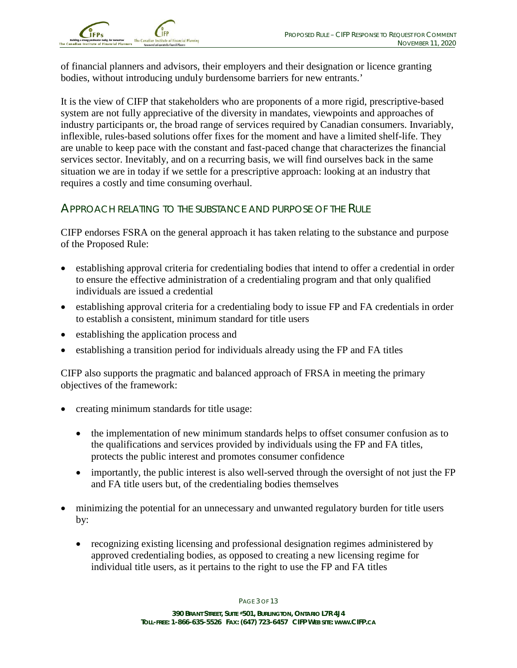

of financial planners and advisors, their employers and their designation or licence granting bodies, without introducing unduly burdensome barriers for new entrants.'

It is the view of CIFP that stakeholders who are proponents of a more rigid, prescriptive-based system are not fully appreciative of the diversity in mandates, viewpoints and approaches of industry participants or, the broad range of services required by Canadian consumers. Invariably, inflexible, rules-based solutions offer fixes for the moment and have a limited shelf-life. They are unable to keep pace with the constant and fast-paced change that characterizes the financial services sector. Inevitably, and on a recurring basis, we will find ourselves back in the same situation we are in today if we settle for a prescriptive approach: looking at an industry that requires a costly and time consuming overhaul.

### APPROACH RELATING TO THE SUBSTANCE AND PURPOSE OF THE RULE

CIFP endorses FSRA on the general approach it has taken relating to the substance and purpose of the Proposed Rule:

- establishing approval criteria for credentialing bodies that intend to offer a credential in order to ensure the effective administration of a credentialing program and that only qualified individuals are issued a credential
- establishing approval criteria for a credentialing body to issue FP and FA credentials in order to establish a consistent, minimum standard for title users
- establishing the application process and
- establishing a transition period for individuals already using the FP and FA titles

CIFP also supports the pragmatic and balanced approach of FRSA in meeting the primary objectives of the framework:

- creating minimum standards for title usage:
	- the implementation of new minimum standards helps to offset consumer confusion as to the qualifications and services provided by individuals using the FP and FA titles, protects the public interest and promotes consumer confidence
	- importantly, the public interest is also well-served through the oversight of not just the FP and FA title users but, of the credentialing bodies themselves
- minimizing the potential for an unnecessary and unwanted regulatory burden for title users by:
	- recognizing existing licensing and professional designation regimes administered by approved credentialing bodies, as opposed to creating a new licensing regime for individual title users, as it pertains to the right to use the FP and FA titles

PAGE 3 OF 13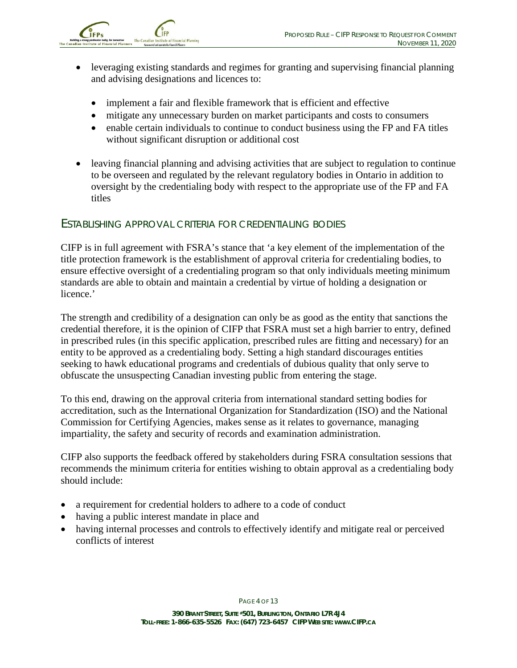

- leveraging existing standards and regimes for granting and supervising financial planning and advising designations and licences to:
	- implement a fair and flexible framework that is efficient and effective
	- mitigate any unnecessary burden on market participants and costs to consumers
	- enable certain individuals to continue to conduct business using the FP and FA titles without significant disruption or additional cost
- leaving financial planning and advising activities that are subject to regulation to continue to be overseen and regulated by the relevant regulatory bodies in Ontario in addition to oversight by the credentialing body with respect to the appropriate use of the FP and FA titles

#### ESTABLISHING APPROVAL CRITERIA FOR CREDENTIALING BODIES

CIFP is in full agreement with FSRA's stance that 'a key element of the implementation of the title protection framework is the establishment of approval criteria for credentialing bodies, to ensure effective oversight of a credentialing program so that only individuals meeting minimum standards are able to obtain and maintain a credential by virtue of holding a designation or licence.'

The strength and credibility of a designation can only be as good as the entity that sanctions the credential therefore, it is the opinion of CIFP that FSRA must set a high barrier to entry, defined in prescribed rules (in this specific application, prescribed rules are fitting and necessary) for an entity to be approved as a credentialing body. Setting a high standard discourages entities seeking to hawk educational programs and credentials of dubious quality that only serve to obfuscate the unsuspecting Canadian investing public from entering the stage.

To this end, drawing on the approval criteria from international standard setting bodies for accreditation, such as the International Organization for Standardization (ISO) and the National Commission for Certifying Agencies, makes sense as it relates to governance, managing impartiality, the safety and security of records and examination administration.

CIFP also supports the feedback offered by stakeholders during FSRA consultation sessions that recommends the minimum criteria for entities wishing to obtain approval as a credentialing body should include:

- a requirement for credential holders to adhere to a code of conduct
- having a public interest mandate in place and
- having internal processes and controls to effectively identify and mitigate real or perceived conflicts of interest

PAGE 4 OF 13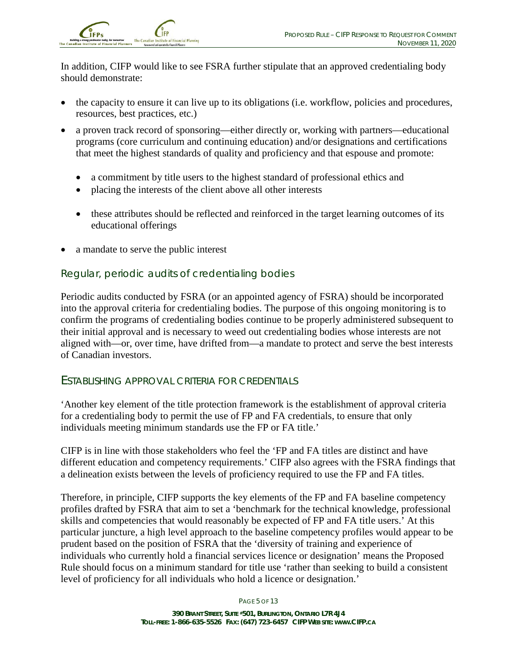In addition, CIFP would like to see FSRA further stipulate that an approved credentialing body should demonstrate:

- the capacity to ensure it can live up to its obligations (i.e. workflow, policies and procedures, resources, best practices, etc.)
- a proven track record of sponsoring—either directly or, working with partners—educational programs (core curriculum and continuing education) and/or designations and certifications that meet the highest standards of quality and proficiency and that espouse and promote:
	- a commitment by title users to the highest standard of professional ethics and
	- placing the interests of the client above all other interests
	- these attributes should be reflected and reinforced in the target learning outcomes of its educational offerings
- a mandate to serve the public interest

### *Regular, periodic audits of credentialing bodies*

Periodic audits conducted by FSRA (or an appointed agency of FSRA) should be incorporated into the approval criteria for credentialing bodies. The purpose of this ongoing monitoring is to confirm the programs of credentialing bodies continue to be properly administered subsequent to their initial approval and is necessary to weed out credentialing bodies whose interests are not aligned with—or, over time, have drifted from—a mandate to protect and serve the best interests of Canadian investors.

### ESTABLISHING APPROVAL CRITERIA FOR CREDENTIALS

'Another key element of the title protection framework is the establishment of approval criteria for a credentialing body to permit the use of FP and FA credentials, to ensure that only individuals meeting minimum standards use the FP or FA title.'

CIFP is in line with those stakeholders who feel the 'FP and FA titles are distinct and have different education and competency requirements.' CIFP also agrees with the FSRA findings that a delineation exists between the levels of proficiency required to use the FP and FA titles.

Therefore, in principle, CIFP supports the key elements of the FP and FA baseline competency profiles drafted by FSRA that aim to set a 'benchmark for the technical knowledge, professional skills and competencies that would reasonably be expected of FP and FA title users.' At this particular juncture, a high level approach to the baseline competency profiles would appear to be prudent based on the position of FSRA that the 'diversity of training and experience of individuals who currently hold a financial services licence or designation' means the Proposed Rule should focus on a minimum standard for title use 'rather than seeking to build a consistent level of proficiency for all individuals who hold a licence or designation.'

PAGE 5 OF 13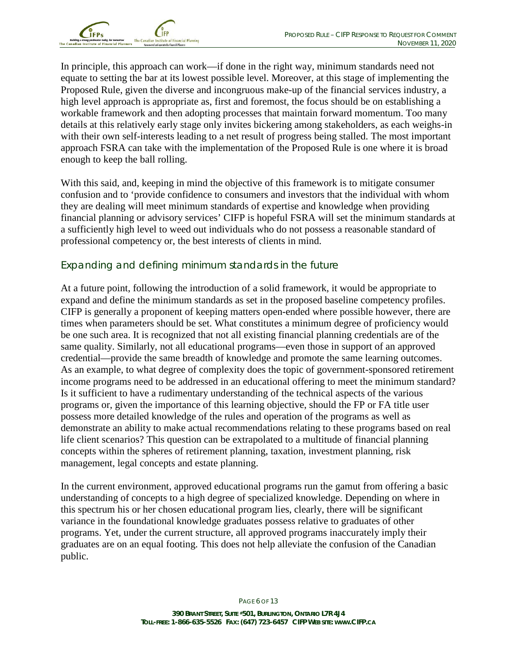

In principle, this approach can work—if done in the right way, minimum standards need not equate to setting the bar at its lowest possible level. Moreover, at this stage of implementing the Proposed Rule, given the diverse and incongruous make-up of the financial services industry, a high level approach is appropriate as, first and foremost, the focus should be on establishing a workable framework and then adopting processes that maintain forward momentum. Too many details at this relatively early stage only invites bickering among stakeholders, as each weighs-in with their own self-interests leading to a net result of progress being stalled. The most important approach FSRA can take with the implementation of the Proposed Rule is one where it is broad enough to keep the ball rolling.

With this said, and, keeping in mind the objective of this framework is to mitigate consumer confusion and to 'provide confidence to consumers and investors that the individual with whom they are dealing will meet minimum standards of expertise and knowledge when providing financial planning or advisory services' CIFP is hopeful FSRA will set the minimum standards at a sufficiently high level to weed out individuals who do not possess a reasonable standard of professional competency or, the best interests of clients in mind.

### *Expanding and defining minimum standards in the future*

At a future point, following the introduction of a solid framework, it would be appropriate to expand and define the minimum standards as set in the proposed baseline competency profiles. CIFP is generally a proponent of keeping matters open-ended where possible however, there are times when parameters should be set. What constitutes a minimum degree of proficiency would be one such area. It is recognized that not all existing financial planning credentials are of the same quality. Similarly, not all educational programs—even those in support of an approved credential—provide the same breadth of knowledge and promote the same learning outcomes. As an example, to what degree of complexity does the topic of government-sponsored retirement income programs need to be addressed in an educational offering to meet the minimum standard? Is it sufficient to have a rudimentary understanding of the technical aspects of the various programs or, given the importance of this learning objective, should the FP or FA title user possess more detailed knowledge of the rules and operation of the programs as well as demonstrate an ability to make actual recommendations relating to these programs based on real life client scenarios? This question can be extrapolated to a multitude of financial planning concepts within the spheres of retirement planning, taxation, investment planning, risk management, legal concepts and estate planning.

In the current environment, approved educational programs run the gamut from offering a basic understanding of concepts to a high degree of specialized knowledge. Depending on where in this spectrum his or her chosen educational program lies, clearly, there will be significant variance in the foundational knowledge graduates possess relative to graduates of other programs. Yet, under the current structure, all approved programs inaccurately imply their graduates are on an equal footing. This does not help alleviate the confusion of the Canadian public.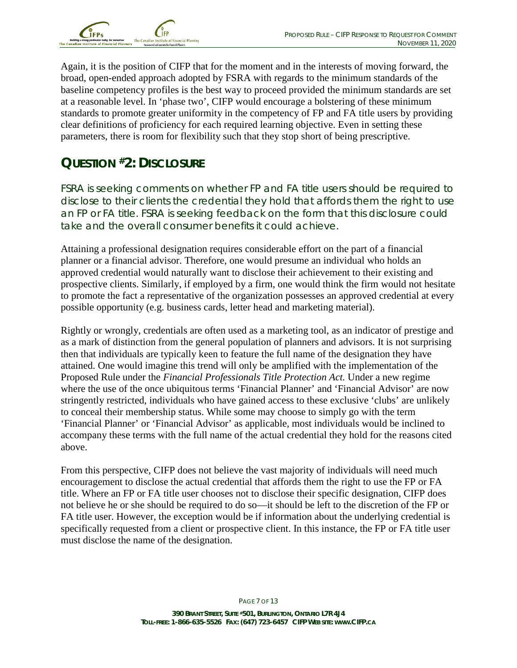

Again, it is the position of CIFP that for the moment and in the interests of moving forward, the broad, open-ended approach adopted by FSRA with regards to the minimum standards of the baseline competency profiles is the best way to proceed provided the minimum standards are set at a reasonable level. In 'phase two', CIFP would encourage a bolstering of these minimum standards to promote greater uniformity in the competency of FP and FA title users by providing clear definitions of proficiency for each required learning objective. Even in setting these parameters, there is room for flexibility such that they stop short of being prescriptive.

# **QUESTION #2: DISCLOSURE**

FSRA is seeking comments on whether FP and FA title users should be required to disclose to their clients the credential they hold that affords them the right to use an FP or FA title. FSRA is seeking feedback on the form that this disclosure could take and the overall consumer benefits it could achieve.

Attaining a professional designation requires considerable effort on the part of a financial planner or a financial advisor. Therefore, one would presume an individual who holds an approved credential would naturally want to disclose their achievement to their existing and prospective clients. Similarly, if employed by a firm, one would think the firm would not hesitate to promote the fact a representative of the organization possesses an approved credential at every possible opportunity (e.g. business cards, letter head and marketing material).

Rightly or wrongly, credentials are often used as a marketing tool, as an indicator of prestige and as a mark of distinction from the general population of planners and advisors. It is not surprising then that individuals are typically keen to feature the full name of the designation they have attained. One would imagine this trend will only be amplified with the implementation of the Proposed Rule under the *Financial Professionals Title Protection Act.* Under a new regime where the use of the once ubiquitous terms 'Financial Planner' and 'Financial Advisor' are now stringently restricted, individuals who have gained access to these exclusive 'clubs' are unlikely to conceal their membership status. While some may choose to simply go with the term 'Financial Planner' or 'Financial Advisor' as applicable, most individuals would be inclined to accompany these terms with the full name of the actual credential they hold for the reasons cited above.

From this perspective, CIFP does not believe the vast majority of individuals will need much encouragement to disclose the actual credential that affords them the right to use the FP or FA title. Where an FP or FA title user chooses not to disclose their specific designation, CIFP does not believe he or she should be required to do so—it should be left to the discretion of the FP or FA title user. However, the exception would be if information about the underlying credential is specifically requested from a client or prospective client. In this instance, the FP or FA title user must disclose the name of the designation.

PAGE 7 OF 13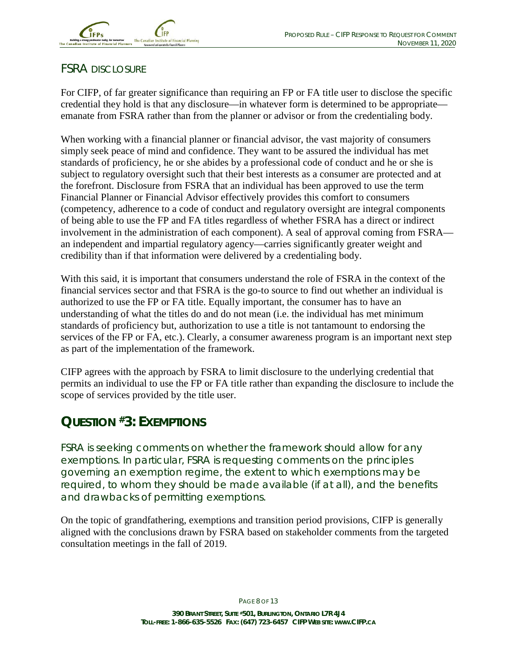## FSRA DISCLOSURE

For CIFP, of far greater significance than requiring an FP or FA title user to disclose the specific credential they hold is that any disclosure—in whatever form is determined to be appropriate emanate from FSRA rather than from the planner or advisor or from the credentialing body.

When working with a financial planner or financial advisor, the vast majority of consumers simply seek peace of mind and confidence. They want to be assured the individual has met standards of proficiency, he or she abides by a professional code of conduct and he or she is subject to regulatory oversight such that their best interests as a consumer are protected and at the forefront. Disclosure from FSRA that an individual has been approved to use the term Financial Planner or Financial Advisor effectively provides this comfort to consumers (competency, adherence to a code of conduct and regulatory oversight are integral components of being able to use the FP and FA titles regardless of whether FSRA has a direct or indirect involvement in the administration of each component). A seal of approval coming from FSRA an independent and impartial regulatory agency—carries significantly greater weight and credibility than if that information were delivered by a credentialing body.

With this said, it is important that consumers understand the role of FSRA in the context of the financial services sector and that FSRA is the go-to source to find out whether an individual is authorized to use the FP or FA title. Equally important, the consumer has to have an understanding of what the titles do and do not mean (i.e. the individual has met minimum standards of proficiency but, authorization to use a title is not tantamount to endorsing the services of the FP or FA, etc.). Clearly, a consumer awareness program is an important next step as part of the implementation of the framework.

CIFP agrees with the approach by FSRA to limit disclosure to the underlying credential that permits an individual to use the FP or FA title rather than expanding the disclosure to include the scope of services provided by the title user.

## **QUESTION #3: EXEMPTIONS**

FSRA is seeking comments on whether the framework should allow for any exemptions. In particular, FSRA is requesting comments on the principles governing an exemption regime, the extent to which exemptions may be required, to whom they should be made available (if at all), and the benefits and drawbacks of permitting exemptions.

On the topic of grandfathering, exemptions and transition period provisions, CIFP is generally aligned with the conclusions drawn by FSRA based on stakeholder comments from the targeted consultation meetings in the fall of 2019.

PAGE 8 OF 13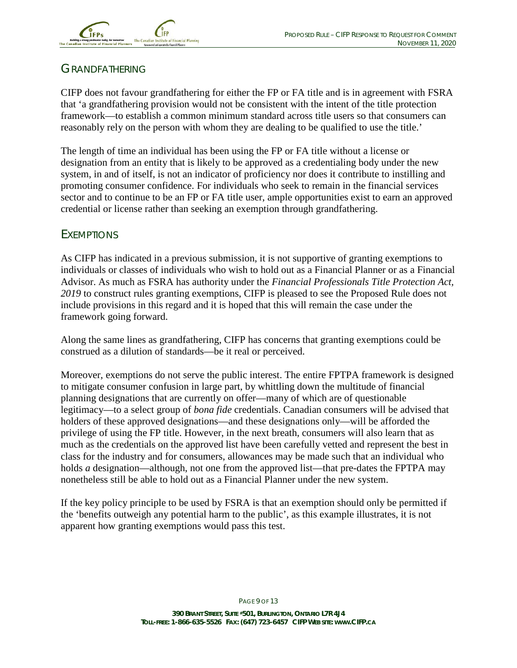

## GRANDFATHERING

CIFP does not favour grandfathering for either the FP or FA title and is in agreement with FSRA that 'a grandfathering provision would not be consistent with the intent of the title protection framework—to establish a common minimum standard across title users so that consumers can reasonably rely on the person with whom they are dealing to be qualified to use the title.'

The length of time an individual has been using the FP or FA title without a license or designation from an entity that is likely to be approved as a credentialing body under the new system, in and of itself, is not an indicator of proficiency nor does it contribute to instilling and promoting consumer confidence. For individuals who seek to remain in the financial services sector and to continue to be an FP or FA title user, ample opportunities exist to earn an approved credential or license rather than seeking an exemption through grandfathering.

### EXEMPTIONS

As CIFP has indicated in a previous submission, it is not supportive of granting exemptions to individuals or classes of individuals who wish to hold out as a Financial Planner or as a Financial Advisor. As much as FSRA has authority under the *Financial Professionals Title Protection Act, 2019* to construct rules granting exemptions, CIFP is pleased to see the Proposed Rule does not include provisions in this regard and it is hoped that this will remain the case under the framework going forward.

Along the same lines as grandfathering, CIFP has concerns that granting exemptions could be construed as a dilution of standards—be it real or perceived.

Moreover, exemptions do not serve the public interest. The entire FPTPA framework is designed to mitigate consumer confusion in large part, by whittling down the multitude of financial planning designations that are currently on offer—many of which are of questionable legitimacy—to a select group of *bona fide* credentials. Canadian consumers will be advised that holders of these approved designations—and these designations only—will be afforded the privilege of using the FP title. However, in the next breath, consumers will also learn that as much as the credentials on the approved list have been carefully vetted and represent the best in class for the industry and for consumers, allowances may be made such that an individual who holds *a* designation—although, not one from the approved list—that pre-dates the FPTPA may nonetheless still be able to hold out as a Financial Planner under the new system.

If the key policy principle to be used by FSRA is that an exemption should only be permitted if the 'benefits outweigh any potential harm to the public', as this example illustrates, it is not apparent how granting exemptions would pass this test.

PAGE 9 OF 13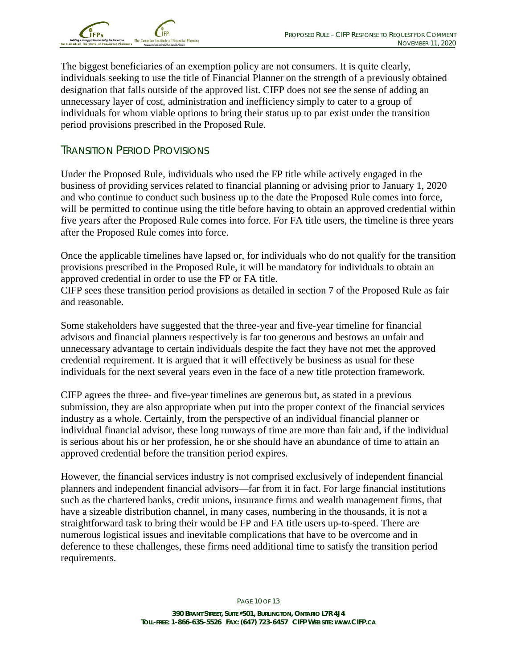

The biggest beneficiaries of an exemption policy are not consumers. It is quite clearly, individuals seeking to use the title of Financial Planner on the strength of a previously obtained designation that falls outside of the approved list. CIFP does not see the sense of adding an unnecessary layer of cost, administration and inefficiency simply to cater to a group of individuals for whom viable options to bring their status up to par exist under the transition period provisions prescribed in the Proposed Rule.

### TRANSITION PERIOD PROVISIONS

Under the Proposed Rule, individuals who used the FP title while actively engaged in the business of providing services related to financial planning or advising prior to January 1, 2020 and who continue to conduct such business up to the date the Proposed Rule comes into force, will be permitted to continue using the title before having to obtain an approved credential within five years after the Proposed Rule comes into force. For FA title users, the timeline is three years after the Proposed Rule comes into force.

Once the applicable timelines have lapsed or, for individuals who do not qualify for the transition provisions prescribed in the Proposed Rule, it will be mandatory for individuals to obtain an approved credential in order to use the FP or FA title.

CIFP sees these transition period provisions as detailed in section 7 of the Proposed Rule as fair and reasonable.

Some stakeholders have suggested that the three-year and five-year timeline for financial advisors and financial planners respectively is far too generous and bestows an unfair and unnecessary advantage to certain individuals despite the fact they have not met the approved credential requirement. It is argued that it will effectively be business as usual for these individuals for the next several years even in the face of a new title protection framework.

CIFP agrees the three- and five-year timelines are generous but, as stated in a previous submission, they are also appropriate when put into the proper context of the financial services industry as a whole. Certainly, from the perspective of an individual financial planner or individual financial advisor, these long runways of time are more than fair and, if the individual is serious about his or her profession, he or she should have an abundance of time to attain an approved credential before the transition period expires.

However, the financial services industry is not comprised exclusively of independent financial planners and independent financial advisors—far from it in fact. For large financial institutions such as the chartered banks, credit unions, insurance firms and wealth management firms, that have a sizeable distribution channel, in many cases, numbering in the thousands, it is not a straightforward task to bring their would be FP and FA title users up-to-speed. There are numerous logistical issues and inevitable complications that have to be overcome and in deference to these challenges, these firms need additional time to satisfy the transition period requirements.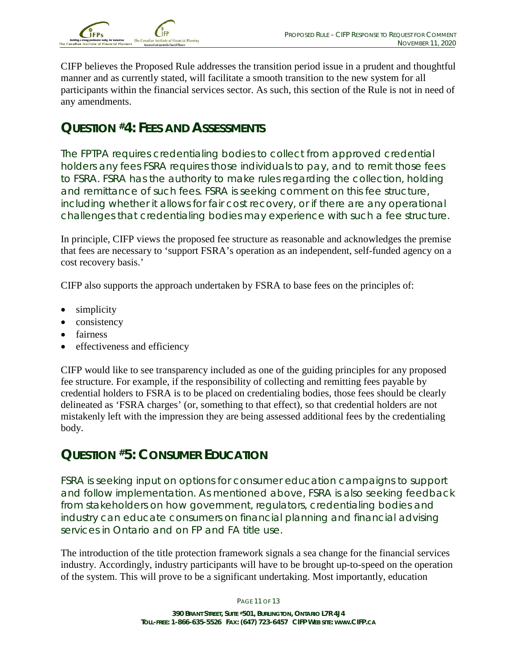

CIFP believes the Proposed Rule addresses the transition period issue in a prudent and thoughtful manner and as currently stated, will facilitate a smooth transition to the new system for all participants within the financial services sector. As such, this section of the Rule is not in need of any amendments.

## **QUESTION #4: FEES AND ASSESSMENTS**

The FPTPA requires credentialing bodies to collect from approved credential holders any fees FSRA requires those individuals to pay, and to remit those fees to FSRA. FSRA has the authority to make rules regarding the collection, holding and remittance of such fees. FSRA is seeking comment on this fee structure, including whether it allows for fair cost recovery, or if there are any operational challenges that credentialing bodies may experience with such a fee structure.

In principle, CIFP views the proposed fee structure as reasonable and acknowledges the premise that fees are necessary to 'support FSRA's operation as an independent, self-funded agency on a cost recovery basis.'

CIFP also supports the approach undertaken by FSRA to base fees on the principles of:

- simplicity
- consistency
- fairness
- effectiveness and efficiency

CIFP would like to see transparency included as one of the guiding principles for any proposed fee structure. For example, if the responsibility of collecting and remitting fees payable by credential holders to FSRA is to be placed on credentialing bodies, those fees should be clearly delineated as 'FSRA charges' (or, something to that effect), so that credential holders are not mistakenly left with the impression they are being assessed additional fees by the credentialing body.

## **QUESTION #5: CONSUMER EDUCATION**

FSRA is seeking input on options for consumer education campaigns to support and follow implementation. As mentioned above, FSRA is also seeking feedback from stakeholders on how government, regulators, credentialing bodies and industry can educate consumers on financial planning and financial advising services in Ontario and on FP and FA title use.

The introduction of the title protection framework signals a sea change for the financial services industry. Accordingly, industry participants will have to be brought up-to-speed on the operation of the system. This will prove to be a significant undertaking. Most importantly, education

PAGE 11 OF 13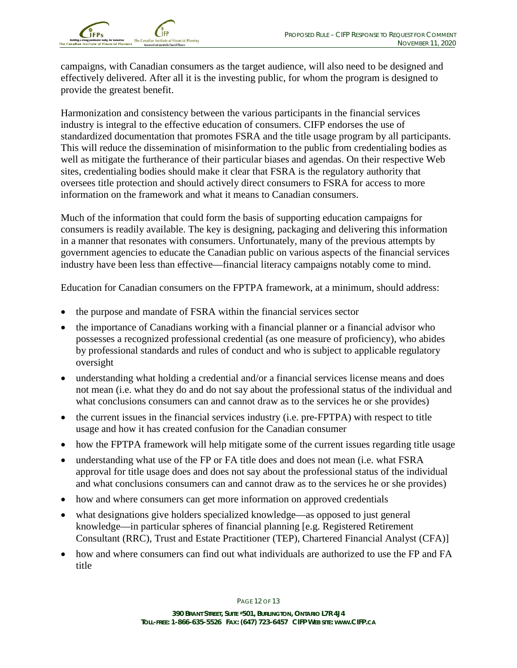

campaigns, with Canadian consumers as the target audience, will also need to be designed and effectively delivered. After all it is the investing public, for whom the program is designed to provide the greatest benefit.

Harmonization and consistency between the various participants in the financial services industry is integral to the effective education of consumers. CIFP endorses the use of standardized documentation that promotes FSRA and the title usage program by all participants. This will reduce the dissemination of misinformation to the public from credentialing bodies as well as mitigate the furtherance of their particular biases and agendas. On their respective Web sites, credentialing bodies should make it clear that FSRA is the regulatory authority that oversees title protection and should actively direct consumers to FSRA for access to more information on the framework and what it means to Canadian consumers.

Much of the information that could form the basis of supporting education campaigns for consumers is readily available. The key is designing, packaging and delivering this information in a manner that resonates with consumers. Unfortunately, many of the previous attempts by government agencies to educate the Canadian public on various aspects of the financial services industry have been less than effective—financial literacy campaigns notably come to mind.

Education for Canadian consumers on the FPTPA framework, at a minimum, should address:

- the purpose and mandate of FSRA within the financial services sector
- the importance of Canadians working with a financial planner or a financial advisor who possesses a recognized professional credential (as one measure of proficiency), who abides by professional standards and rules of conduct and who is subject to applicable regulatory oversight
- understanding what holding a credential and/or a financial services license means and does not mean (i.e. what they do and do not say about the professional status of the individual and what conclusions consumers can and cannot draw as to the services he or she provides)
- the current issues in the financial services industry (i.e. pre-FPTPA) with respect to title usage and how it has created confusion for the Canadian consumer
- how the FPTPA framework will help mitigate some of the current issues regarding title usage
- understanding what use of the FP or FA title does and does not mean (i.e. what FSRA approval for title usage does and does not say about the professional status of the individual and what conclusions consumers can and cannot draw as to the services he or she provides)
- how and where consumers can get more information on approved credentials
- what designations give holders specialized knowledge—as opposed to just general knowledge—in particular spheres of financial planning [e.g. Registered Retirement Consultant (RRC), Trust and Estate Practitioner (TEP), Chartered Financial Analyst (CFA)]
- how and where consumers can find out what individuals are authorized to use the FP and FA title

PAGE 12 OF 13